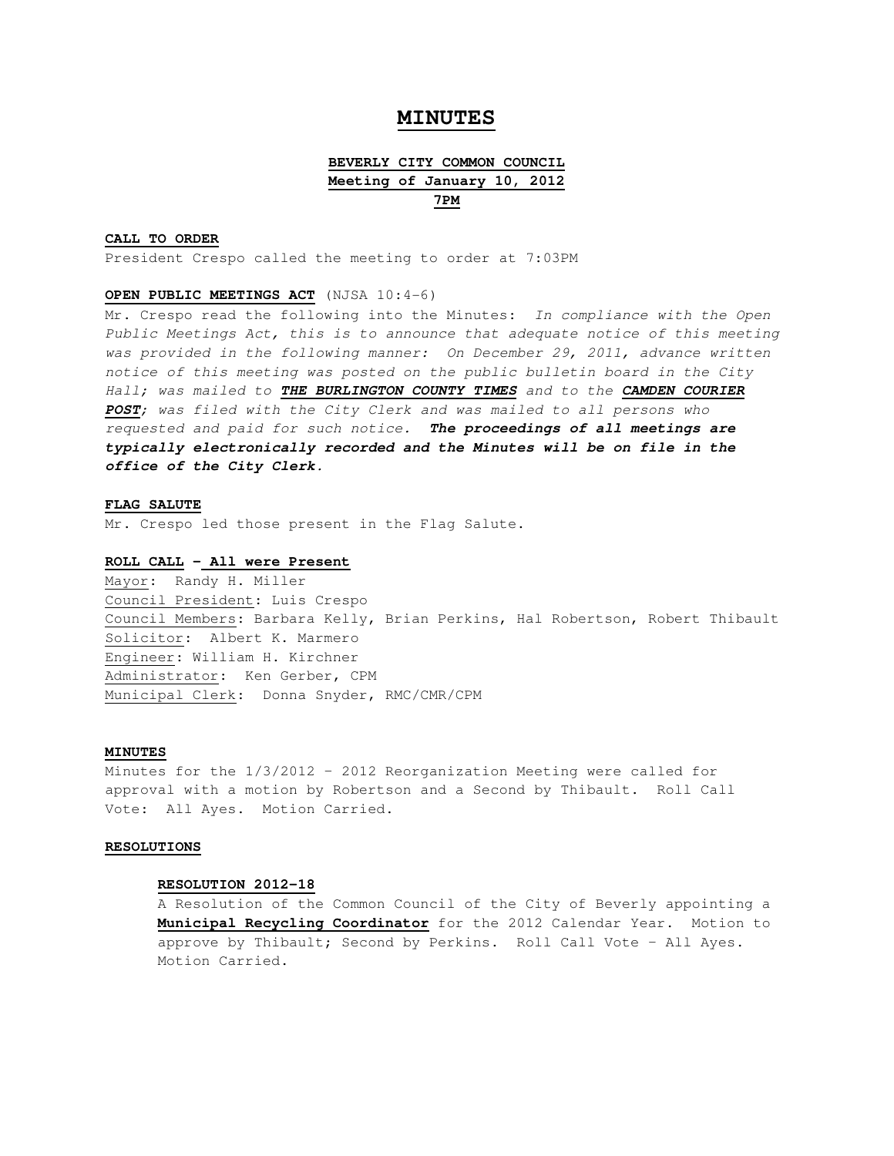# **MINUTES**

# **BEVERLY CITY COMMON COUNCIL Meeting of January 10, 2012 7PM**

### **CALL TO ORDER**

President Crespo called the meeting to order at 7:03PM

## **OPEN PUBLIC MEETINGS ACT** (NJSA 10:4-6)

Mr. Crespo read the following into the Minutes: In compliance with the Open Public Meetings Act, this is to announce that adequate notice of this meeting was provided in the following manner: On December 29, 2011, advance written notice of this meeting was posted on the public bulletin board in the City Hall; was mailed to **THE BURLINGTON COUNTY TIMES** and to the **CAMDEN COURIER POST**; was filed with the City Clerk and was mailed to all persons who requested and paid for such notice. **The proceedings of all meetings are typically electronically recorded and the Minutes will be on file in the office of the City Clerk.** 

### **FLAG SALUTE**

Mr. Crespo led those present in the Flag Salute.

## **ROLL CALL – All were Present**

Mayor: Randy H. Miller Council President: Luis Crespo Council Members: Barbara Kelly, Brian Perkins, Hal Robertson, Robert Thibault Solicitor: Albert K. Marmero Engineer: William H. Kirchner Administrator: Ken Gerber, CPM Municipal Clerk: Donna Snyder, RMC/CMR/CPM

#### **MINUTES**

Minutes for the 1/3/2012 – 2012 Reorganization Meeting were called for approval with a motion by Robertson and a Second by Thibault. Roll Call Vote: All Ayes. Motion Carried.

#### **RESOLUTIONS**

#### **RESOLUTION 2012-18**

A Resolution of the Common Council of the City of Beverly appointing a **Municipal Recycling Coordinator** for the 2012 Calendar Year. Motion to approve by Thibault; Second by Perkins. Roll Call Vote – All Ayes. Motion Carried.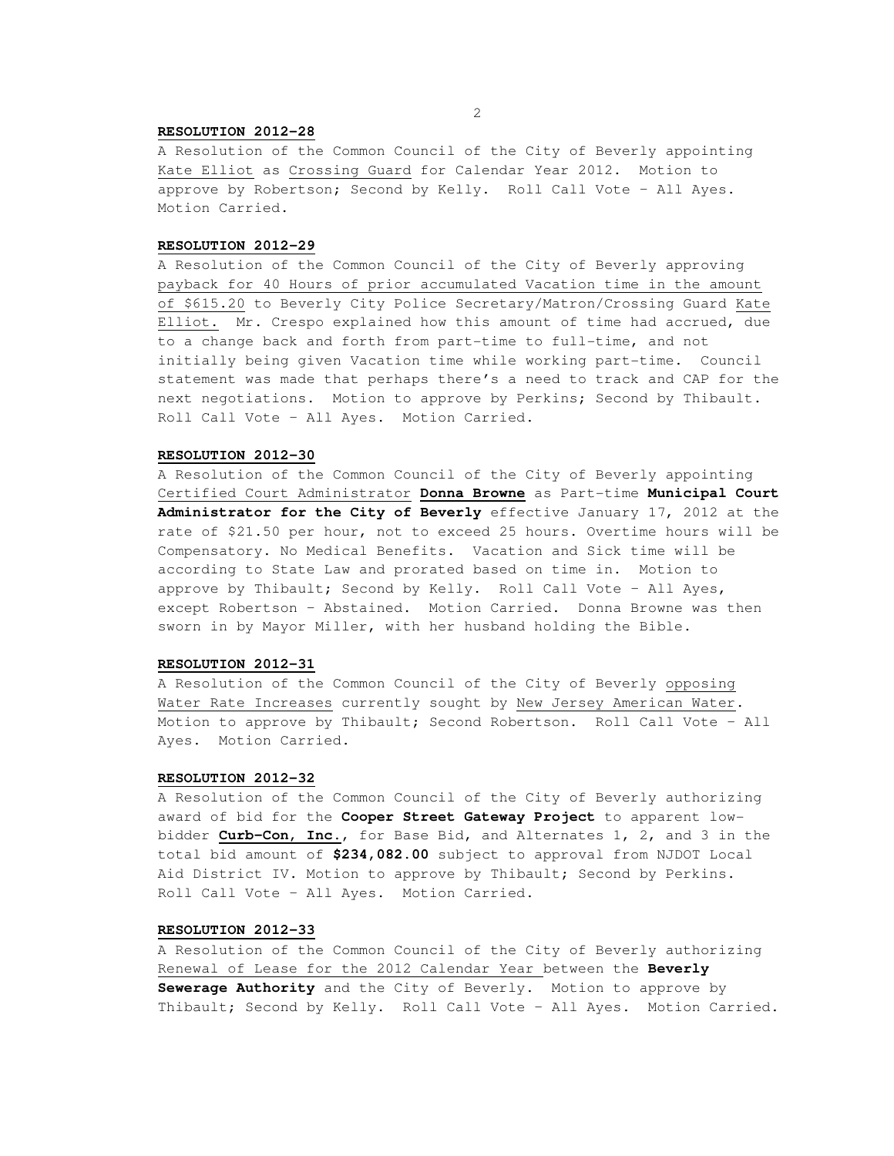#### **RESOLUTION 2012-28**

A Resolution of the Common Council of the City of Beverly appointing Kate Elliot as Crossing Guard for Calendar Year 2012. Motion to approve by Robertson; Second by Kelly. Roll Call Vote – All Ayes. Motion Carried.

#### **RESOLUTION 2012-29**

A Resolution of the Common Council of the City of Beverly approving payback for 40 Hours of prior accumulated Vacation time in the amount of \$615.20 to Beverly City Police Secretary/Matron/Crossing Guard Kate Elliot. Mr. Crespo explained how this amount of time had accrued, due to a change back and forth from part-time to full-time, and not initially being given Vacation time while working part-time. Council statement was made that perhaps there's a need to track and CAP for the next negotiations. Motion to approve by Perkins; Second by Thibault. Roll Call Vote – All Ayes. Motion Carried.

## **RESOLUTION 2012-30**

A Resolution of the Common Council of the City of Beverly appointing Certified Court Administrator **Donna Browne** as Part-time **Municipal Court Administrator for the City of Beverly** effective January 17, 2012 at the rate of \$21.50 per hour, not to exceed 25 hours. Overtime hours will be Compensatory. No Medical Benefits. Vacation and Sick time will be according to State Law and prorated based on time in. Motion to approve by Thibault; Second by Kelly. Roll Call Vote – All Ayes, except Robertson – Abstained. Motion Carried. Donna Browne was then sworn in by Mayor Miller, with her husband holding the Bible.

#### **RESOLUTION 2012-31**

A Resolution of the Common Council of the City of Beverly opposing Water Rate Increases currently sought by New Jersey American Water. Motion to approve by Thibault; Second Robertson. Roll Call Vote – All Ayes. Motion Carried.

#### **RESOLUTION 2012-32**

A Resolution of the Common Council of the City of Beverly authorizing award of bid for the **Cooper Street Gateway Project** to apparent lowbidder **Curb-Con, Inc.**, for Base Bid, and Alternates 1, 2, and 3 in the total bid amount of **\$234,082.00** subject to approval from NJDOT Local Aid District IV. Motion to approve by Thibault; Second by Perkins. Roll Call Vote – All Ayes. Motion Carried.

## **RESOLUTION 2012-33**

A Resolution of the Common Council of the City of Beverly authorizing Renewal of Lease for the 2012 Calendar Year between the **Beverly Sewerage Authority** and the City of Beverly. Motion to approve by Thibault; Second by Kelly. Roll Call Vote – All Ayes. Motion Carried.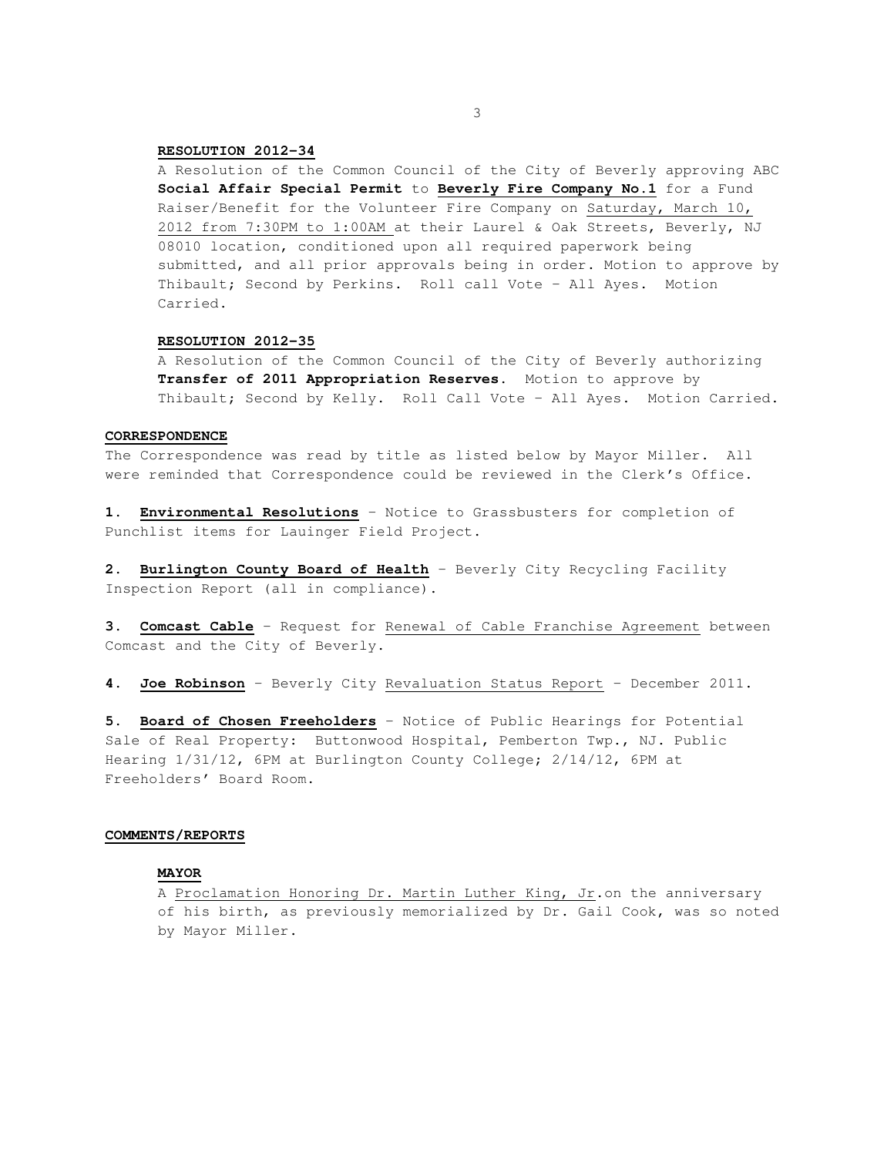### **RESOLUTION 2012-34**

A Resolution of the Common Council of the City of Beverly approving ABC **Social Affair Special Permit** to **Beverly Fire Company No.1** for a Fund Raiser/Benefit for the Volunteer Fire Company on Saturday, March 10, 2012 from 7:30PM to 1:00AM at their Laurel & Oak Streets, Beverly, NJ 08010 location, conditioned upon all required paperwork being submitted, and all prior approvals being in order. Motion to approve by Thibault; Second by Perkins. Roll call Vote – All Ayes. Motion Carried.

### **RESOLUTION 2012-35**

A Resolution of the Common Council of the City of Beverly authorizing **Transfer of 2011 Appropriation Reserves**. Motion to approve by Thibault; Second by Kelly. Roll Call Vote – All Ayes. Motion Carried.

### **CORRESPONDENCE**

The Correspondence was read by title as listed below by Mayor Miller. All were reminded that Correspondence could be reviewed in the Clerk's Office.

**1. Environmental Resolutions** – Notice to Grassbusters for completion of Punchlist items for Lauinger Field Project.

**2. Burlington County Board of Health** – Beverly City Recycling Facility Inspection Report (all in compliance).

**3. Comcast Cable** – Request for Renewal of Cable Franchise Agreement between Comcast and the City of Beverly.

**4. Joe Robinson** – Beverly City Revaluation Status Report – December 2011.

**5. Board of Chosen Freeholders** – Notice of Public Hearings for Potential Sale of Real Property: Buttonwood Hospital, Pemberton Twp., NJ. Public Hearing 1/31/12, 6PM at Burlington County College; 2/14/12, 6PM at Freeholders' Board Room.

#### **COMMENTS/REPORTS**

## **MAYOR**

A Proclamation Honoring Dr. Martin Luther King, Jr.on the anniversary of his birth, as previously memorialized by Dr. Gail Cook, was so noted by Mayor Miller.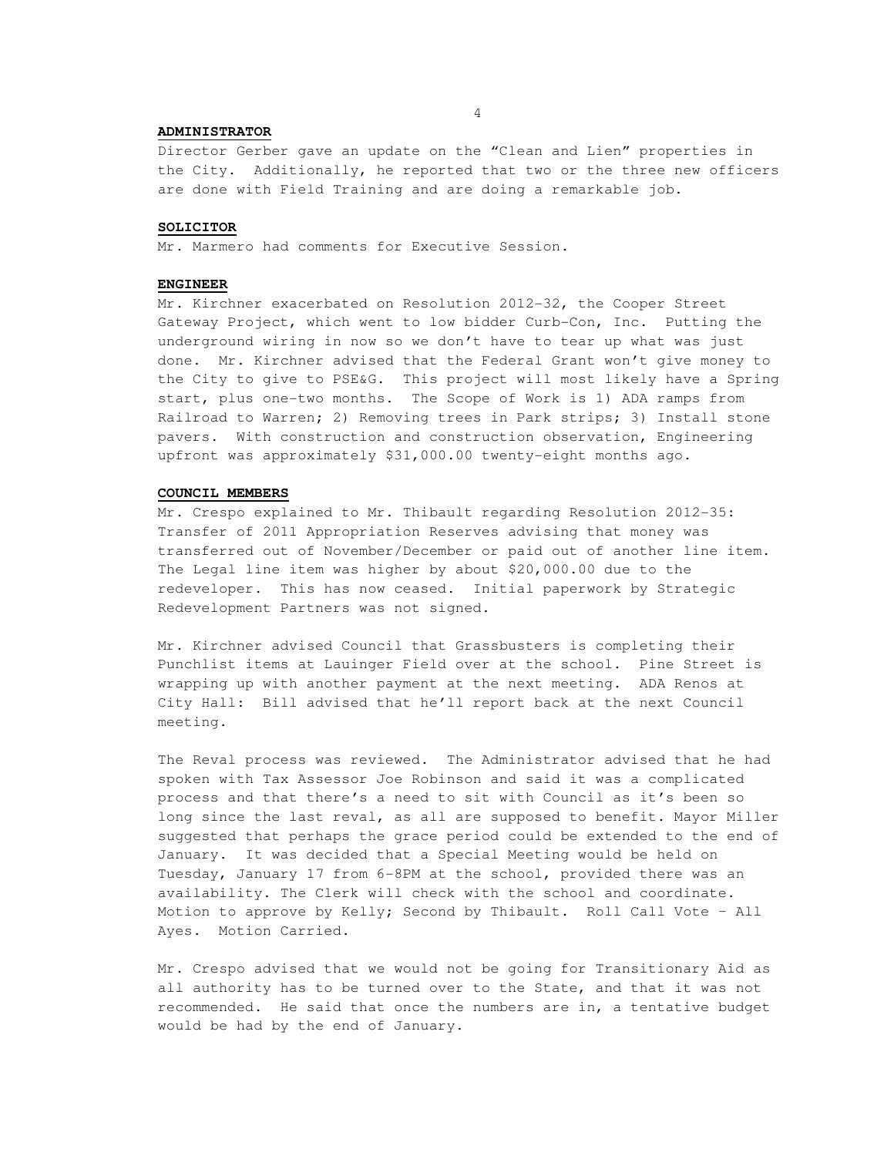### **ADMINISTRATOR**

Director Gerber gave an update on the "Clean and Lien" properties in the City. Additionally, he reported that two or the three new officers are done with Field Training and are doing a remarkable job.

## **SOLICITOR**

Mr. Marmero had comments for Executive Session.

## **ENGINEER**

Mr. Kirchner exacerbated on Resolution 2012-32, the Cooper Street Gateway Project, which went to low bidder Curb-Con, Inc. Putting the underground wiring in now so we don't have to tear up what was just done. Mr. Kirchner advised that the Federal Grant won't give money to the City to give to PSE&G. This project will most likely have a Spring start, plus one-two months. The Scope of Work is 1) ADA ramps from Railroad to Warren; 2) Removing trees in Park strips; 3) Install stone pavers. With construction and construction observation, Engineering upfront was approximately \$31,000.00 twenty-eight months ago.

#### **COUNCIL MEMBERS**

Mr. Crespo explained to Mr. Thibault regarding Resolution 2012-35: Transfer of 2011 Appropriation Reserves advising that money was transferred out of November/December or paid out of another line item. The Legal line item was higher by about \$20,000.00 due to the redeveloper. This has now ceased. Initial paperwork by Strategic Redevelopment Partners was not signed.

Mr. Kirchner advised Council that Grassbusters is completing their Punchlist items at Lauinger Field over at the school. Pine Street is wrapping up with another payment at the next meeting. ADA Renos at City Hall: Bill advised that he'll report back at the next Council meeting.

The Reval process was reviewed. The Administrator advised that he had spoken with Tax Assessor Joe Robinson and said it was a complicated process and that there's a need to sit with Council as it's been so long since the last reval, as all are supposed to benefit. Mayor Miller suggested that perhaps the grace period could be extended to the end of January. It was decided that a Special Meeting would be held on Tuesday, January 17 from 6-8PM at the school, provided there was an availability. The Clerk will check with the school and coordinate. Motion to approve by Kelly; Second by Thibault. Roll Call Vote – All Ayes. Motion Carried.

Mr. Crespo advised that we would not be going for Transitionary Aid as all authority has to be turned over to the State, and that it was not recommended. He said that once the numbers are in, a tentative budget would be had by the end of January.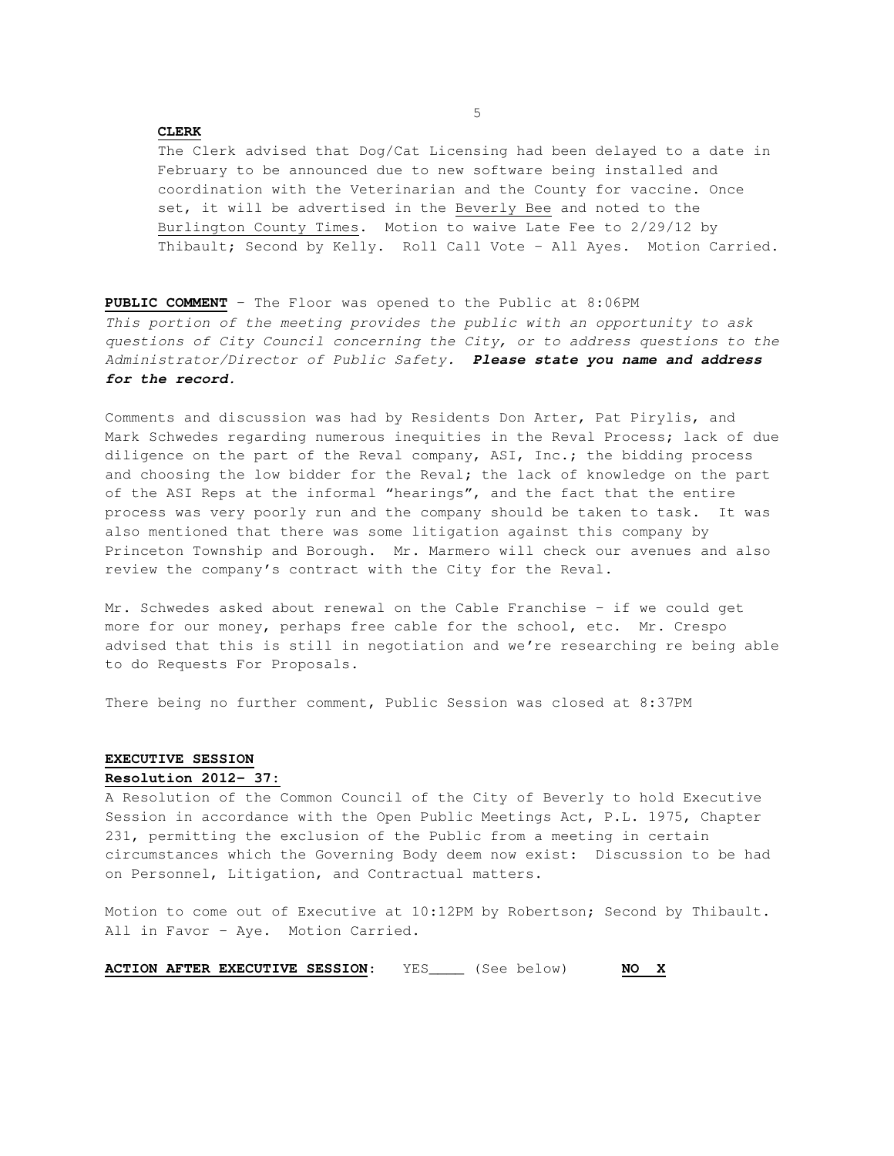## **CLERK**

The Clerk advised that Dog/Cat Licensing had been delayed to a date in February to be announced due to new software being installed and coordination with the Veterinarian and the County for vaccine. Once set, it will be advertised in the Beverly Bee and noted to the Burlington County Times. Motion to waive Late Fee to 2/29/12 by Thibault; Second by Kelly. Roll Call Vote – All Ayes. Motion Carried.

**PUBLIC COMMENT** – The Floor was opened to the Public at 8:06PM This portion of the meeting provides the public with an opportunity to ask questions of City Council concerning the City, or to address questions to the Administrator/Director of Public Safety. **Please state you name and address for the record.** 

Comments and discussion was had by Residents Don Arter, Pat Pirylis, and Mark Schwedes regarding numerous inequities in the Reval Process; lack of due diligence on the part of the Reval company, ASI, Inc.; the bidding process and choosing the low bidder for the Reval; the lack of knowledge on the part of the ASI Reps at the informal "hearings", and the fact that the entire process was very poorly run and the company should be taken to task. It was also mentioned that there was some litigation against this company by Princeton Township and Borough. Mr. Marmero will check our avenues and also review the company's contract with the City for the Reval.

Mr. Schwedes asked about renewal on the Cable Franchise – if we could get more for our money, perhaps free cable for the school, etc. Mr. Crespo advised that this is still in negotiation and we're researching re being able to do Requests For Proposals.

There being no further comment, Public Session was closed at 8:37PM

## **EXECUTIVE SESSION Resolution 2012- 37:**

A Resolution of the Common Council of the City of Beverly to hold Executive Session in accordance with the Open Public Meetings Act, P.L. 1975, Chapter 231, permitting the exclusion of the Public from a meeting in certain circumstances which the Governing Body deem now exist: Discussion to be had on Personnel, Litigation, and Contractual matters.

Motion to come out of Executive at 10:12PM by Robertson; Second by Thibault. All in Favor – Aye. Motion Carried.

**ACTION AFTER EXECUTIVE SESSION**: YES\_\_\_\_ (See below) **NO X**